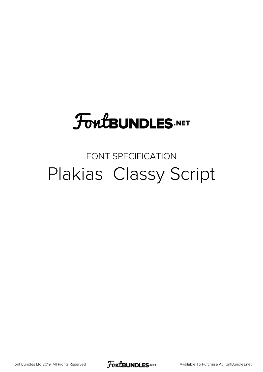# **FoutBUNDLES.NET**

### FONT SPECIFICATION Plakias Classy Script

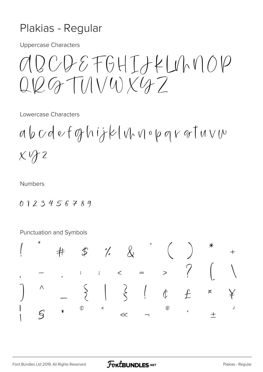#### Plakias - Regular

**Uppercase Characters** 

 $2005764IJKLUNNOP$  $G_T T111/4)X47$ 

Lowercase Characters

 $a\,b\,c\,d\,e\,f\,q\,h\,ij\,k\,|\,v\,w\,q\,e\,p\,q\,v\,q\,t\,u\,v\,w$  $X\vee\!\!\!\!\!\!\!f\vee\!\!\!\!\!Z$ 

**Numbers** 

 $0123456789$ 

Punctuation and Symbols

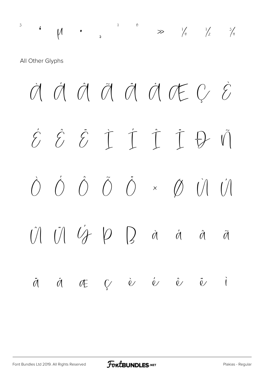³ ´ µ · ¸ ¹ º » ¼ ½ ¾

All Other Glyphs

 $M$   $\acute{\a}$   $\acute{\a}$   $\ddot{\a}$   $\ddot{\a}$   $\ddot{\a}$   $\ddot{\a}$   $\ddot{\a}$   $\ddot{\a}$   $\ddot{\a}$   $\ddot{\a}$   $\ddot{\a}$   $\ddot{\a}$   $\ddot{\a}$   $\ddot{\b}$   $\ddot{\b}$   $\ddot{\b}$   $\ddot{\b}$   $\ddot{\b}$   $\ddot{\b}$   $\ddot{\b}$   $\ddot{\b}$   $\ddot{\b}$   $\ddot{\b}$   $\ddot{\b}$   $\dd$ É Ê Ë Ì Í Î Ï Ð Ñ  $\dot{O}$   $\dot{O}$   $\ddot{O}$   $\dot{O}$   $\times$   $\dot{O}$   $\dot{O}$   $\dot{O}$  $\hat{U}$   $\hat{U}$   $\hat{V}$   $\hat{V}$   $D$   $D$  à á á ã  $\ddot{\theta} \hspace{0.2cm} \dot{\theta} \hspace{0.2cm} \theta \hspace{0.2cm} \dot{\theta} \hspace{0.2cm} \dot{\theta} \hspace{0.2cm} \dot{\theta} \hspace{0.2cm} \dot{\theta} \hspace{0.2cm} \dot{\theta} \hspace{0.2cm} \dot{\theta} \hspace{0.2cm} \dot{\theta} \hspace{0.2cm} \dot{\theta} \hspace{0.2cm} \dot{\theta}$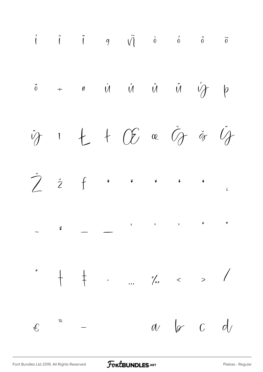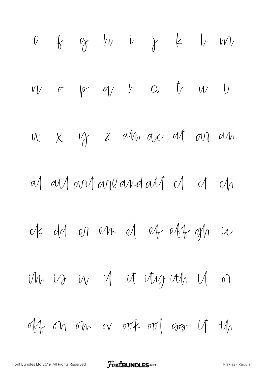\n
$$
0 \quad \text{if} \quad \gamma \quad \text{if} \quad \text{if} \quad \text{if} \quad \text{if} \quad \text{if} \quad \text{if} \quad \text{if} \quad \text{if} \quad \text{if} \quad \text{if} \quad \text{if} \quad \text{if} \quad \text{if} \quad \text{if} \quad \text{if} \quad \text{if} \quad \text{if} \quad \text{if} \quad \text{if} \quad \text{if} \quad \text{if} \quad \text{if} \quad \text{if} \quad \text{if} \quad \text{if} \quad \text{if} \quad \text{if} \quad \text{if} \quad \text{if} \quad \text{if} \quad \text{if} \quad \text{if} \quad \text{if} \quad \text{if} \quad \text{if} \quad \text{if} \quad \text{if} \quad \text{if} \quad \text{if} \quad \text{if} \quad \text{if} \quad \text{if} \quad \text{if} \quad \text{if} \quad \text{if} \quad \text{if} \quad \text{if} \quad \text{if} \quad \text{if} \quad \text{if} \quad \text{if} \quad \text{if} \quad \text{if} \quad \text{if} \quad \text{if} \quad \text{if} \quad \text{if} \quad \text{if} \quad \text{if} \quad \text{if} \quad \text{if} \quad \text{if} \quad \text{if} \quad \text{if} \quad \text{if} \quad \text{if} \quad \text{if} \quad \text{if} \quad \text{if} \quad \text{if} \quad \text{if} \quad \text{if} \quad \text{if} \quad \text{if} \quad \text{if} \quad \text{if} \quad \text{if} \quad \text{if} \quad \text{if} \quad \text{if} \quad \text{if} \quad \text{if} \quad \text{if} \quad \text{if} \quad \text{if} \quad \text{if} \quad \text{if} \quad \text{if} \quad \text{if} \quad \text{if} \quad \text{if} \quad \text{if} \quad \text{if} \quad \text{if} \quad \text{if} \quad \text{if} \quad \text{if} \quad \text{if} \quad \text{if} \quad \text{if} \quad \text{if} \quad \text{if} \quad \text{if} \quad \text{if} \quad \text{if} \quad \text{if} \quad \text{if
$$